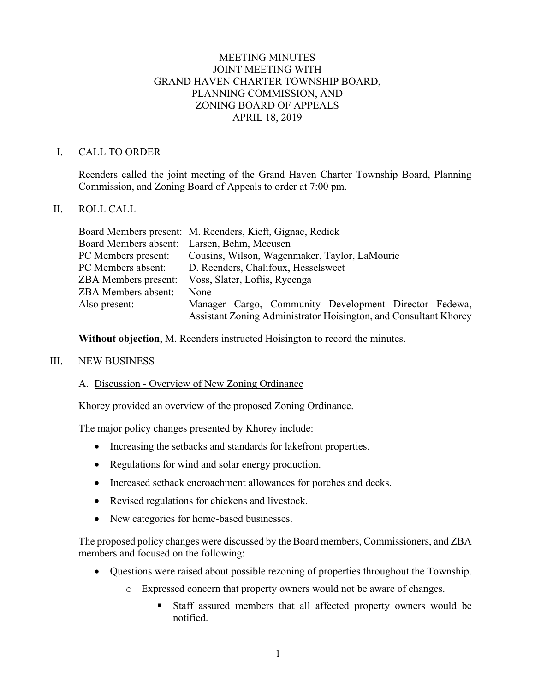## MEETING MINUTES JOINT MEETING WITH GRAND HAVEN CHARTER TOWNSHIP BOARD, PLANNING COMMISSION, AND ZONING BOARD OF APPEALS APRIL 18, 2019

### I. CALL TO ORDER

Reenders called the joint meeting of the Grand Haven Charter Township Board, Planning Commission, and Zoning Board of Appeals to order at 7:00 pm.

## II. ROLL CALL

|                                             | Board Members present: M. Reenders, Kieft, Gignac, Redick        |
|---------------------------------------------|------------------------------------------------------------------|
| Board Members absent: Larsen, Behm, Meeusen |                                                                  |
| PC Members present:                         | Cousins, Wilson, Wagenmaker, Taylor, LaMourie                    |
| PC Members absent:                          | D. Reenders, Chalifoux, Hesselsweet                              |
| <b>ZBA</b> Members present:                 | Voss, Slater, Loftis, Rycenga                                    |
| <b>ZBA</b> Members absent:                  | None                                                             |
| Also present:                               | Manager Cargo, Community Development Director Fedewa,            |
|                                             | Assistant Zoning Administrator Hoisington, and Consultant Khorey |

**Without objection**, M. Reenders instructed Hoisington to record the minutes.

#### III. NEW BUSINESS

#### A. Discussion - Overview of New Zoning Ordinance

Khorey provided an overview of the proposed Zoning Ordinance.

The major policy changes presented by Khorey include:

- Increasing the setbacks and standards for lakefront properties.
- Regulations for wind and solar energy production.
- Increased setback encroachment allowances for porches and decks.
- Revised regulations for chickens and livestock.
- New categories for home-based businesses.

The proposed policy changes were discussed by the Board members, Commissioners, and ZBA members and focused on the following:

- Questions were raised about possible rezoning of properties throughout the Township.
	- o Expressed concern that property owners would not be aware of changes.
		- Staff assured members that all affected property owners would be notified.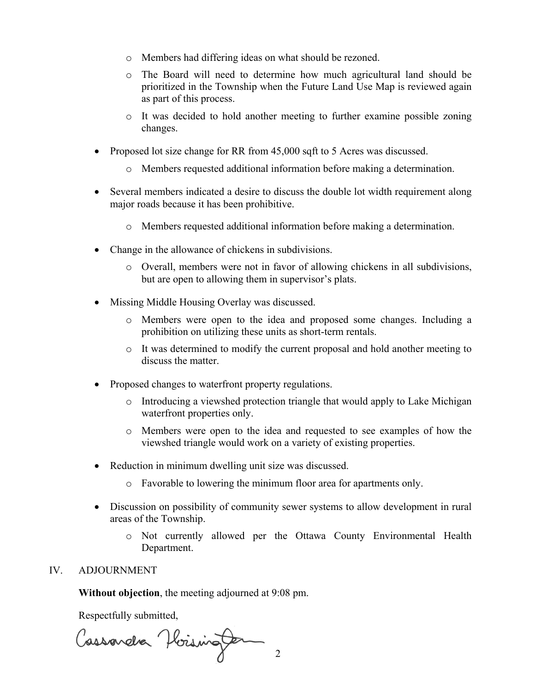- o Members had differing ideas on what should be rezoned.
- o The Board will need to determine how much agricultural land should be prioritized in the Township when the Future Land Use Map is reviewed again as part of this process.
- o It was decided to hold another meeting to further examine possible zoning changes.
- Proposed lot size change for RR from 45,000 sqft to 5 Acres was discussed.
	- o Members requested additional information before making a determination.
- Several members indicated a desire to discuss the double lot width requirement along major roads because it has been prohibitive.
	- o Members requested additional information before making a determination.
- Change in the allowance of chickens in subdivisions.
	- o Overall, members were not in favor of allowing chickens in all subdivisions, but are open to allowing them in supervisor's plats.
- Missing Middle Housing Overlay was discussed.
	- o Members were open to the idea and proposed some changes. Including a prohibition on utilizing these units as short-term rentals.
	- o It was determined to modify the current proposal and hold another meeting to discuss the matter.
- Proposed changes to waterfront property regulations.
	- o Introducing a viewshed protection triangle that would apply to Lake Michigan waterfront properties only.
	- o Members were open to the idea and requested to see examples of how the viewshed triangle would work on a variety of existing properties.
- Reduction in minimum dwelling unit size was discussed.
	- o Favorable to lowering the minimum floor area for apartments only.
- Discussion on possibility of community sewer systems to allow development in rural areas of the Township.
	- o Not currently allowed per the Ottawa County Environmental Health Department.

#### IV. ADJOURNMENT

**Without objection**, the meeting adjourned at 9:08 pm.

Respectfully submitted,

Cassander Hoisington 2